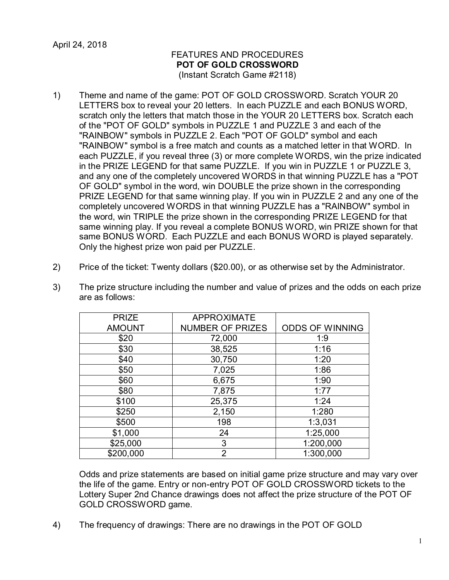April 24, 2018

## FEATURES AND PROCEDURES **POT OF GOLD CROSSWORD** (Instant Scratch Game #2118)

- 1) Theme and name of the game: POT OF GOLD CROSSWORD. Scratch YOUR 20 LETTERS box to reveal your 20 letters. In each PUZZLE and each BONUS WORD, scratch only the letters that match those in the YOUR 20 LETTERS box. Scratch each of the "POT OF GOLD" symbols in PUZZLE 1 and PUZZLE 3 and each of the "RAINBOW" symbols in PUZZLE 2. Each "POT OF GOLD" symbol and each "RAINBOW" symbol is a free match and counts as a matched letter in that WORD. In each PUZZLE, if you reveal three (3) or more complete WORDS, win the prize indicated in the PRIZE LEGEND for that same PUZZLE. If you win in PUZZLE 1 or PUZZLE 3, and any one of the completely uncovered WORDS in that winning PUZZLE has a "POT OF GOLD" symbol in the word, win DOUBLE the prize shown in the corresponding PRIZE LEGEND for that same winning play. If you win in PUZZLE 2 and any one of the completely uncovered WORDS in that winning PUZZLE has a "RAINBOW" symbol in the word, win TRIPLE the prize shown in the corresponding PRIZE LEGEND for that same winning play. If you reveal a complete BONUS WORD, win PRIZE shown for that same BONUS WORD. Each PUZZLE and each BONUS WORD is played separately. Only the highest prize won paid per PUZZLE.
- 2) Price of the ticket: Twenty dollars (\$20.00), or as otherwise set by the Administrator.

| <b>PRIZE</b>  | <b>APPROXIMATE</b>      |                        |
|---------------|-------------------------|------------------------|
| <b>AMOUNT</b> | <b>NUMBER OF PRIZES</b> | <b>ODDS OF WINNING</b> |
| \$20          | 72,000                  | 1:9                    |
| \$30          | 38,525                  | 1:16                   |
| \$40          | 30,750                  | 1:20                   |
| \$50          | 7,025                   | 1:86                   |
| \$60          | 6,675                   | 1:90                   |
| \$80          | 7,875                   | 1:77                   |
| \$100         | 25,375                  | 1:24                   |
| \$250         | 2,150                   | 1:280                  |
| \$500         | 198                     | 1:3,031                |
| \$1,000       | 24                      | 1:25,000               |
| \$25,000      | 3                       | 1:200,000              |
| \$200,000     | $\overline{2}$          | 1:300,000              |

3) The prize structure including the number and value of prizes and the odds on each prize are as follows:

Odds and prize statements are based on initial game prize structure and may vary over the life of the game. Entry or non-entry POT OF GOLD CROSSWORD tickets to the Lottery Super 2nd Chance drawings does not affect the prize structure of the POT OF GOLD CROSSWORD game.

4) The frequency of drawings: There are no drawings in the POT OF GOLD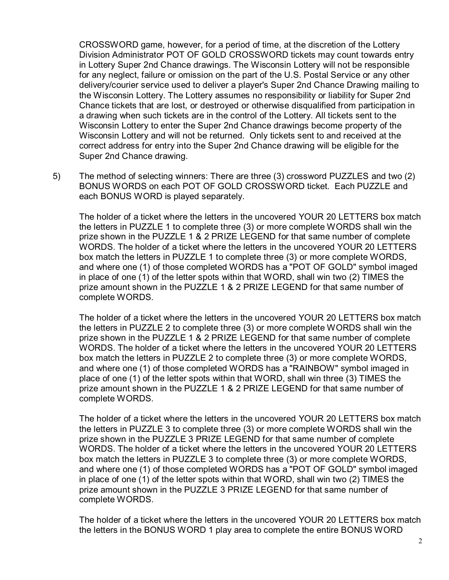CROSSWORD game, however, for a period of time, at the discretion of the Lottery Division Administrator POT OF GOLD CROSSWORD tickets may count towards entry in Lottery Super 2nd Chance drawings. The Wisconsin Lottery will not be responsible for any neglect, failure or omission on the part of the U.S. Postal Service or any other delivery/courier service used to deliver a player's Super 2nd Chance Drawing mailing to the Wisconsin Lottery. The Lottery assumes no responsibility or liability for Super 2nd Chance tickets that are lost, or destroyed or otherwise disqualified from participation in a drawing when such tickets are in the control of the Lottery. All tickets sent to the Wisconsin Lottery to enter the Super 2nd Chance drawings become property of the Wisconsin Lottery and will not be returned. Only tickets sent to and received at the correct address for entry into the Super 2nd Chance drawing will be eligible for the Super 2nd Chance drawing.

5) The method of selecting winners: There are three (3) crossword PUZZLES and two (2) BONUS WORDS on each POT OF GOLD CROSSWORD ticket. Each PUZZLE and each BONUS WORD is played separately.

The holder of a ticket where the letters in the uncovered YOUR 20 LETTERS box match the letters in PUZZLE 1 to complete three (3) or more complete WORDS shall win the prize shown in the PUZZLE 1 & 2 PRIZE LEGEND for that same number of complete WORDS. The holder of a ticket where the letters in the uncovered YOUR 20 LETTERS box match the letters in PUZZLE 1 to complete three (3) or more complete WORDS, and where one (1) of those completed WORDS has a "POT OF GOLD" symbol imaged in place of one (1) of the letter spots within that WORD, shall win two (2) TIMES the prize amount shown in the PUZZLE 1 & 2 PRIZE LEGEND for that same number of complete WORDS.

The holder of a ticket where the letters in the uncovered YOUR 20 LETTERS box match the letters in PUZZLE 2 to complete three (3) or more complete WORDS shall win the prize shown in the PUZZLE 1 & 2 PRIZE LEGEND for that same number of complete WORDS. The holder of a ticket where the letters in the uncovered YOUR 20 LETTERS box match the letters in PUZZLE 2 to complete three (3) or more complete WORDS, and where one (1) of those completed WORDS has a "RAINBOW" symbol imaged in place of one (1) of the letter spots within that WORD, shall win three (3) TIMES the prize amount shown in the PUZZLE 1 & 2 PRIZE LEGEND for that same number of complete WORDS.

The holder of a ticket where the letters in the uncovered YOUR 20 LETTERS box match the letters in PUZZLE 3 to complete three (3) or more complete WORDS shall win the prize shown in the PUZZLE 3 PRIZE LEGEND for that same number of complete WORDS. The holder of a ticket where the letters in the uncovered YOUR 20 LETTERS box match the letters in PUZZLE 3 to complete three (3) or more complete WORDS, and where one (1) of those completed WORDS has a "POT OF GOLD" symbol imaged in place of one (1) of the letter spots within that WORD, shall win two (2) TIMES the prize amount shown in the PUZZLE 3 PRIZE LEGEND for that same number of complete WORDS.

The holder of a ticket where the letters in the uncovered YOUR 20 LETTERS box match the letters in the BONUS WORD 1 play area to complete the entire BONUS WORD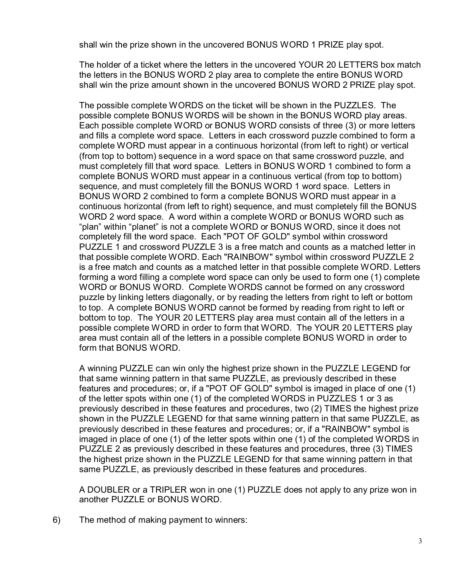shall win the prize shown in the uncovered BONUS WORD 1 PRIZE play spot.

The holder of a ticket where the letters in the uncovered YOUR 20 LETTERS box match the letters in the BONUS WORD 2 play area to complete the entire BONUS WORD shall win the prize amount shown in the uncovered BONUS WORD 2 PRIZE play spot.

The possible complete WORDS on the ticket will be shown in the PUZZLES. The possible complete BONUS WORDS will be shown in the BONUS WORD play areas. Each possible complete WORD or BONUS WORD consists of three (3) or more letters and fills a complete word space. Letters in each crossword puzzle combined to form a complete WORD must appear in a continuous horizontal (from left to right) or vertical (from top to bottom) sequence in a word space on that same crossword puzzle, and must completely fill that word space. Letters in BONUS WORD 1 combined to form a complete BONUS WORD must appear in a continuous vertical (from top to bottom) sequence, and must completely fill the BONUS WORD 1 word space. Letters in BONUS WORD 2 combined to form a complete BONUS WORD must appear in a continuous horizontal (from left to right) sequence, and must completely fill the BONUS WORD 2 word space. A word within a complete WORD or BONUS WORD such as "plan" within "planet" is not a complete WORD or BONUS WORD, since it does not completely fill the word space. Each "POT OF GOLD" symbol within crossword PUZZLE 1 and crossword PUZZLE 3 is a free match and counts as a matched letter in that possible complete WORD. Each "RAINBOW" symbol within crossword PUZZLE 2 is a free match and counts as a matched letter in that possible complete WORD. Letters forming a word filling a complete word space can only be used to form one (1) complete WORD or BONUS WORD. Complete WORDS cannot be formed on any crossword puzzle by linking letters diagonally, or by reading the letters from right to left or bottom to top. A complete BONUS WORD cannot be formed by reading from right to left or bottom to top. The YOUR 20 LETTERS play area must contain all of the letters in a possible complete WORD in order to form that WORD. The YOUR 20 LETTERS play area must contain all of the letters in a possible complete BONUS WORD in order to form that BONUS WORD.

A winning PUZZLE can win only the highest prize shown in the PUZZLE LEGEND for that same winning pattern in that same PUZZLE, as previously described in these features and procedures; or, if a "POT OF GOLD" symbol is imaged in place of one (1) of the letter spots within one (1) of the completed WORDS in PUZZLES 1 or 3 as previously described in these features and procedures, two (2) TIMES the highest prize shown in the PUZZLE LEGEND for that same winning pattern in that same PUZZLE, as previously described in these features and procedures; or, if a "RAINBOW" symbol is imaged in place of one (1) of the letter spots within one (1) of the completed WORDS in PUZZLE 2 as previously described in these features and procedures, three (3) TIMES the highest prize shown in the PUZZLE LEGEND for that same winning pattern in that same PUZZLE, as previously described in these features and procedures.

A DOUBLER or a TRIPLER won in one (1) PUZZLE does not apply to any prize won in another PUZZLE or BONUS WORD.

6) The method of making payment to winners: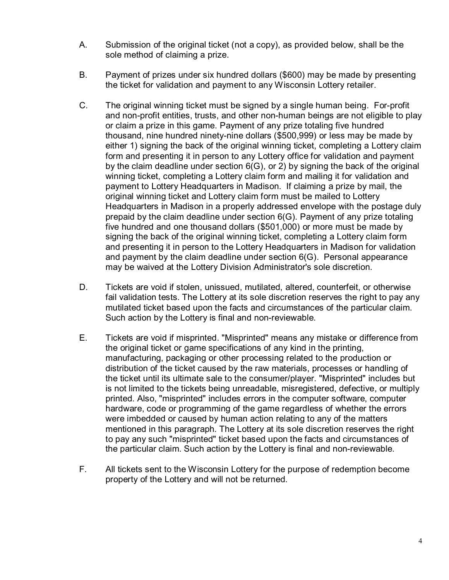- A. Submission of the original ticket (not a copy), as provided below, shall be the sole method of claiming a prize.
- B. Payment of prizes under six hundred dollars (\$600) may be made by presenting the ticket for validation and payment to any Wisconsin Lottery retailer.
- C. The original winning ticket must be signed by a single human being. For-profit and non-profit entities, trusts, and other non-human beings are not eligible to play or claim a prize in this game. Payment of any prize totaling five hundred thousand, nine hundred ninety-nine dollars (\$500,999) or less may be made by either 1) signing the back of the original winning ticket, completing a Lottery claim form and presenting it in person to any Lottery office for validation and payment by the claim deadline under section 6(G), or 2) by signing the back of the original winning ticket, completing a Lottery claim form and mailing it for validation and payment to Lottery Headquarters in Madison. If claiming a prize by mail, the original winning ticket and Lottery claim form must be mailed to Lottery Headquarters in Madison in a properly addressed envelope with the postage duly prepaid by the claim deadline under section 6(G). Payment of any prize totaling five hundred and one thousand dollars (\$501,000) or more must be made by signing the back of the original winning ticket, completing a Lottery claim form and presenting it in person to the Lottery Headquarters in Madison for validation and payment by the claim deadline under section 6(G). Personal appearance may be waived at the Lottery Division Administrator's sole discretion.
- D. Tickets are void if stolen, unissued, mutilated, altered, counterfeit, or otherwise fail validation tests. The Lottery at its sole discretion reserves the right to pay any mutilated ticket based upon the facts and circumstances of the particular claim. Such action by the Lottery is final and non-reviewable.
- E. Tickets are void if misprinted. "Misprinted" means any mistake or difference from the original ticket or game specifications of any kind in the printing, manufacturing, packaging or other processing related to the production or distribution of the ticket caused by the raw materials, processes or handling of the ticket until its ultimate sale to the consumer/player. "Misprinted" includes but is not limited to the tickets being unreadable, misregistered, defective, or multiply printed. Also, "misprinted" includes errors in the computer software, computer hardware, code or programming of the game regardless of whether the errors were imbedded or caused by human action relating to any of the matters mentioned in this paragraph. The Lottery at its sole discretion reserves the right to pay any such "misprinted" ticket based upon the facts and circumstances of the particular claim. Such action by the Lottery is final and non-reviewable.
- F. All tickets sent to the Wisconsin Lottery for the purpose of redemption become property of the Lottery and will not be returned.